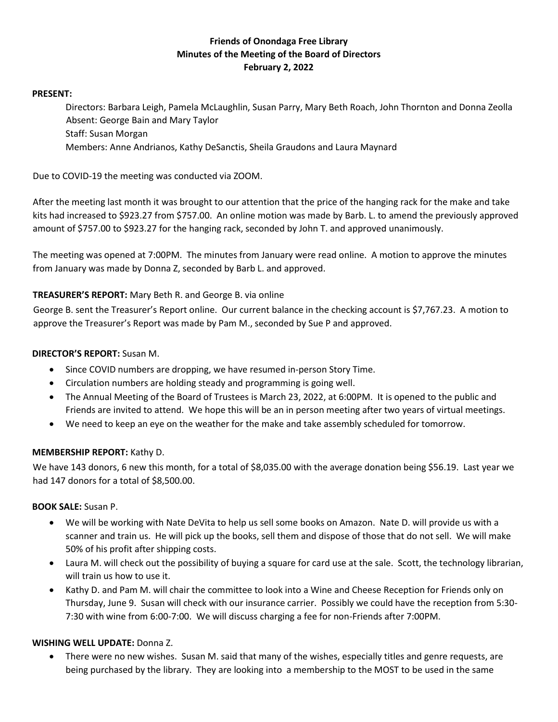# **Friends of Onondaga Free Library Minutes of the Meeting of the Board of Directors February 2, 2022**

#### **PRESENT:**

Directors: Barbara Leigh, Pamela McLaughlin, Susan Parry, Mary Beth Roach, John Thornton and Donna Zeolla Absent: George Bain and Mary Taylor Staff: Susan Morgan Members: Anne Andrianos, Kathy DeSanctis, Sheila Graudons and Laura Maynard

Due to COVID-19 the meeting was conducted via ZOOM.

After the meeting last month it was brought to our attention that the price of the hanging rack for the make and take kits had increased to \$923.27 from \$757.00. An online motion was made by Barb. L. to amend the previously approved amount of \$757.00 to \$923.27 for the hanging rack, seconded by John T. and approved unanimously.

The meeting was opened at 7:00PM. The minutes from January were read online. A motion to approve the minutes from January was made by Donna Z, seconded by Barb L. and approved.

## **TREASURER'S REPORT:** Mary Beth R. and George B. via online

George B. sent the Treasurer's Report online. Our current balance in the checking account is \$7,767.23. A motion to approve the Treasurer's Report was made by Pam M., seconded by Sue P and approved.

#### **DIRECTOR'S REPORT:** Susan M.

- Since COVID numbers are dropping, we have resumed in-person Story Time.
- Circulation numbers are holding steady and programming is going well.
- The Annual Meeting of the Board of Trustees is March 23, 2022, at 6:00PM. It is opened to the public and Friends are invited to attend. We hope this will be an in person meeting after two years of virtual meetings.
- We need to keep an eye on the weather for the make and take assembly scheduled for tomorrow.

#### **MEMBERSHIP REPORT:** Kathy D.

We have 143 donors, 6 new this month, for a total of \$8,035.00 with the average donation being \$56.19. Last year we had 147 donors for a total of \$8,500.00.

#### **BOOK SALE:** Susan P.

- We will be working with Nate DeVita to help us sell some books on Amazon. Nate D. will provide us with a scanner and train us. He will pick up the books, sell them and dispose of those that do not sell. We will make 50% of his profit after shipping costs.
- Laura M. will check out the possibility of buying a square for card use at the sale. Scott, the technology librarian, will train us how to use it.
- Kathy D. and Pam M. will chair the committee to look into a Wine and Cheese Reception for Friends only on Thursday, June 9. Susan will check with our insurance carrier. Possibly we could have the reception from 5:30- 7:30 with wine from 6:00-7:00. We will discuss charging a fee for non-Friends after 7:00PM.

#### **WISHING WELL UPDATE:** Donna Z.

 There were no new wishes. Susan M. said that many of the wishes, especially titles and genre requests, are being purchased by the library. They are looking into a membership to the MOST to be used in the same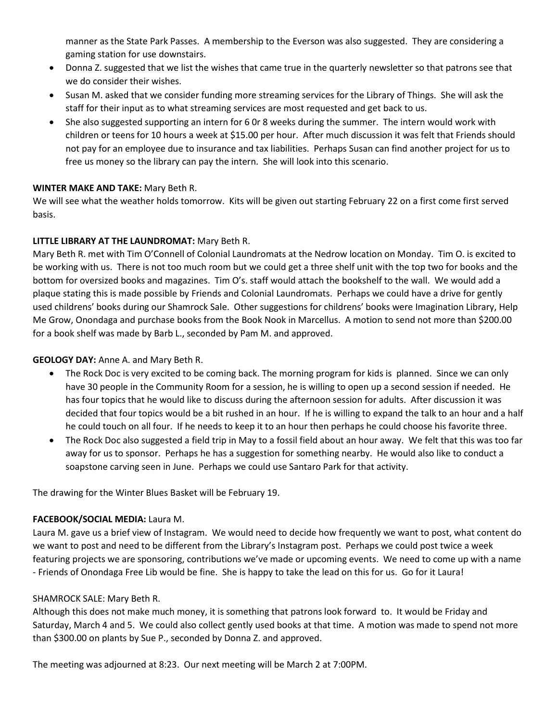manner as the State Park Passes. A membership to the Everson was also suggested. They are considering a gaming station for use downstairs.

- Donna Z. suggested that we list the wishes that came true in the quarterly newsletter so that patrons see that we do consider their wishes.
- Susan M. asked that we consider funding more streaming services for the Library of Things. She will ask the staff for their input as to what streaming services are most requested and get back to us.
- She also suggested supporting an intern for 6 0r 8 weeks during the summer. The intern would work with children or teens for 10 hours a week at \$15.00 per hour. After much discussion it was felt that Friends should not pay for an employee due to insurance and tax liabilities. Perhaps Susan can find another project for us to free us money so the library can pay the intern. She will look into this scenario.

## **WINTER MAKE AND TAKE:** Mary Beth R.

We will see what the weather holds tomorrow. Kits will be given out starting February 22 on a first come first served basis.

## **LITTLE LIBRARY AT THE LAUNDROMAT:** Mary Beth R.

Mary Beth R. met with Tim O'Connell of Colonial Laundromats at the Nedrow location on Monday. Tim O. is excited to be working with us. There is not too much room but we could get a three shelf unit with the top two for books and the bottom for oversized books and magazines. Tim O's. staff would attach the bookshelf to the wall. We would add a plaque stating this is made possible by Friends and Colonial Laundromats. Perhaps we could have a drive for gently used childrens' books during our Shamrock Sale. Other suggestions for childrens' books were Imagination Library, Help Me Grow, Onondaga and purchase books from the Book Nook in Marcellus. A motion to send not more than \$200.00 for a book shelf was made by Barb L., seconded by Pam M. and approved.

### **GEOLOGY DAY:** Anne A. and Mary Beth R.

- The Rock Doc is very excited to be coming back. The morning program for kids is planned. Since we can only have 30 people in the Community Room for a session, he is willing to open up a second session if needed. He has four topics that he would like to discuss during the afternoon session for adults. After discussion it was decided that four topics would be a bit rushed in an hour. If he is willing to expand the talk to an hour and a half he could touch on all four. If he needs to keep it to an hour then perhaps he could choose his favorite three.
- The Rock Doc also suggested a field trip in May to a fossil field about an hour away. We felt that this was too far away for us to sponsor. Perhaps he has a suggestion for something nearby. He would also like to conduct a soapstone carving seen in June. Perhaps we could use Santaro Park for that activity.

The drawing for the Winter Blues Basket will be February 19.

#### **FACEBOOK/SOCIAL MEDIA:** Laura M.

Laura M. gave us a brief view of Instagram. We would need to decide how frequently we want to post, what content do we want to post and need to be different from the Library's Instagram post. Perhaps we could post twice a week featuring projects we are sponsoring, contributions we've made or upcoming events. We need to come up with a name - Friends of Onondaga Free Lib would be fine. She is happy to take the lead on this for us. Go for it Laura!

#### SHAMROCK SALE: Mary Beth R.

Although this does not make much money, it is something that patrons look forward to. It would be Friday and Saturday, March 4 and 5. We could also collect gently used books at that time. A motion was made to spend not more than \$300.00 on plants by Sue P., seconded by Donna Z. and approved.

The meeting was adjourned at 8:23. Our next meeting will be March 2 at 7:00PM.